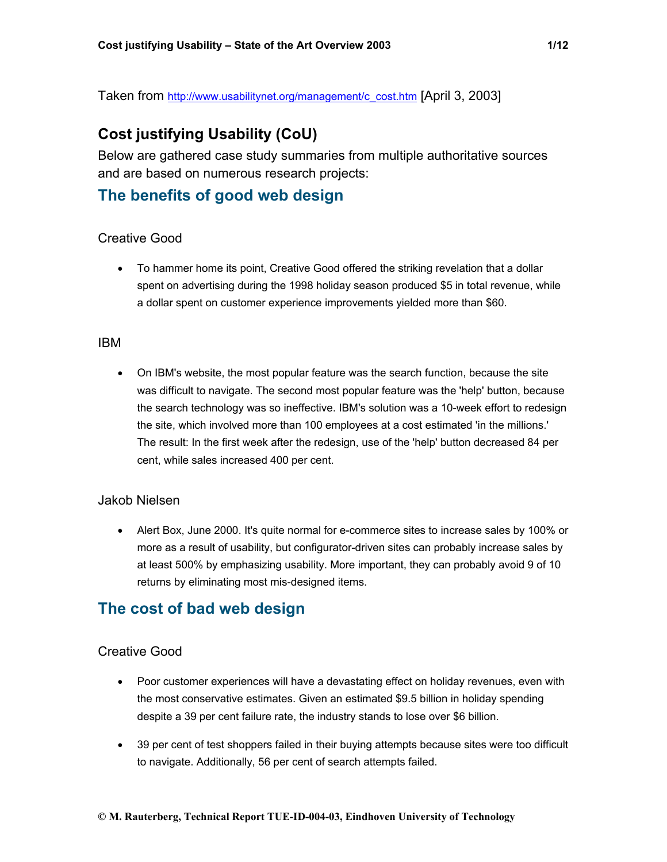Taken from [http://www.usabilitynet.org/management/c\\_cost.htm](http://www.usabilitynet.org/management/c_cost.htm) [April 3, 2003]

# **Cost justifying Usability (CoU)**

Below are gathered case study summaries from multiple authoritative sources and are based on numerous research projects:

# **The benefits of good web design**

#### Creative Good

• To hammer home its point, Creative Good offered the striking revelation that a dollar spent on advertising during the 1998 holiday season produced \$5 in total revenue, while a dollar spent on customer experience improvements yielded more than \$60.

#### IBM

• On IBM's website, the most popular feature was the search function, because the site was difficult to navigate. The second most popular feature was the 'help' button, because the search technology was so ineffective. IBM's solution was a 10-week effort to redesign the site, which involved more than 100 employees at a cost estimated 'in the millions.' The result: In the first week after the redesign, use of the 'help' button decreased 84 per cent, while sales increased 400 per cent.

#### Jakob Nielsen

• Alert Box, June 2000. It's quite normal for e-commerce sites to increase sales by 100% or more as a result of usability, but configurator-driven sites can probably increase sales by at least 500% by emphasizing usability. More important, they can probably avoid 9 of 10 returns by eliminating most mis-designed items.

# **The cost of bad web design**

#### Creative Good

- Poor customer experiences will have a devastating effect on holiday revenues, even with the most conservative estimates. Given an estimated \$9.5 billion in holiday spending despite a 39 per cent failure rate, the industry stands to lose over \$6 billion.
- 39 per cent of test shoppers failed in their buying attempts because sites were too difficult to navigate. Additionally, 56 per cent of search attempts failed.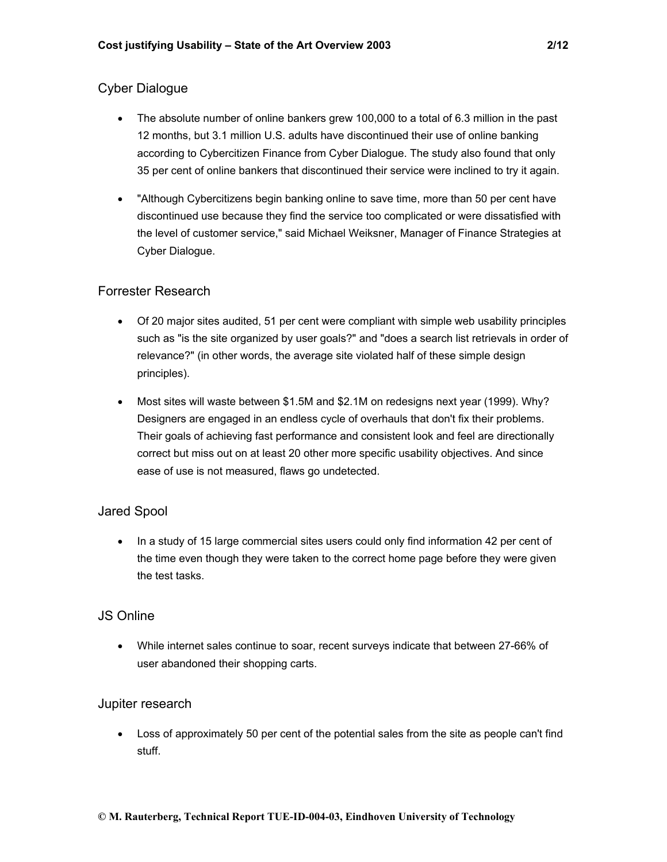## Cyber Dialogue

- The absolute number of online bankers grew 100,000 to a total of 6.3 million in the past 12 months, but 3.1 million U.S. adults have discontinued their use of online banking according to Cybercitizen Finance from Cyber Dialogue. The study also found that only 35 per cent of online bankers that discontinued their service were inclined to try it again.
- "Although Cybercitizens begin banking online to save time, more than 50 per cent have discontinued use because they find the service too complicated or were dissatisfied with the level of customer service," said Michael Weiksner, Manager of Finance Strategies at Cyber Dialogue.

### Forrester Research

- Of 20 major sites audited, 51 per cent were compliant with simple web usability principles such as "is the site organized by user goals?" and "does a search list retrievals in order of relevance?" (in other words, the average site violated half of these simple design principles).
- Most sites will waste between \$1.5M and \$2.1M on redesigns next year (1999). Why? Designers are engaged in an endless cycle of overhauls that don't fix their problems. Their goals of achieving fast performance and consistent look and feel are directionally correct but miss out on at least 20 other more specific usability objectives. And since ease of use is not measured, flaws go undetected.

### Jared Spool

• In a study of 15 large commercial sites users could only find information 42 per cent of the time even though they were taken to the correct home page before they were given the test tasks.

### JS Online

• While internet sales continue to soar, recent surveys indicate that between 27-66% of user abandoned their shopping carts.

### Jupiter research

• Loss of approximately 50 per cent of the potential sales from the site as people can't find stuff.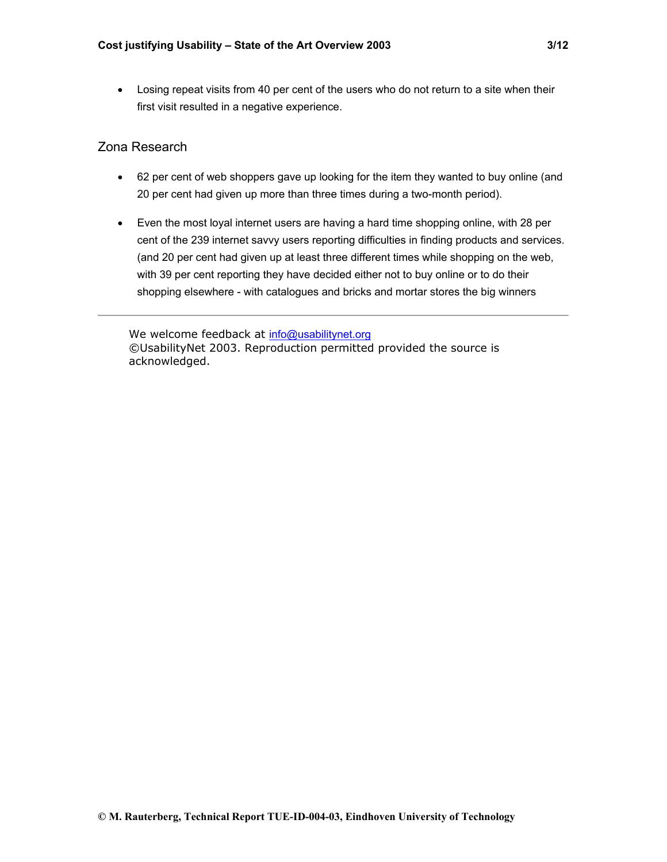• Losing repeat visits from 40 per cent of the users who do not return to a site when their first visit resulted in a negative experience.

### Zona Research

- 62 per cent of web shoppers gave up looking for the item they wanted to buy online (and 20 per cent had given up more than three times during a two-month period).
- Even the most loyal internet users are having a hard time shopping online, with 28 per cent of the 239 internet savvy users reporting difficulties in finding products and services. (and 20 per cent had given up at least three different times while shopping on the web, with 39 per cent reporting they have decided either not to buy online or to do their shopping elsewhere - with catalogues and bricks and mortar stores the big winners

We welcome feedback at [info@usabilitynet.org](mailto:info@usabilitynet.org) ©UsabilityNet 2003. Reproduction permitted provided the source is acknowledged.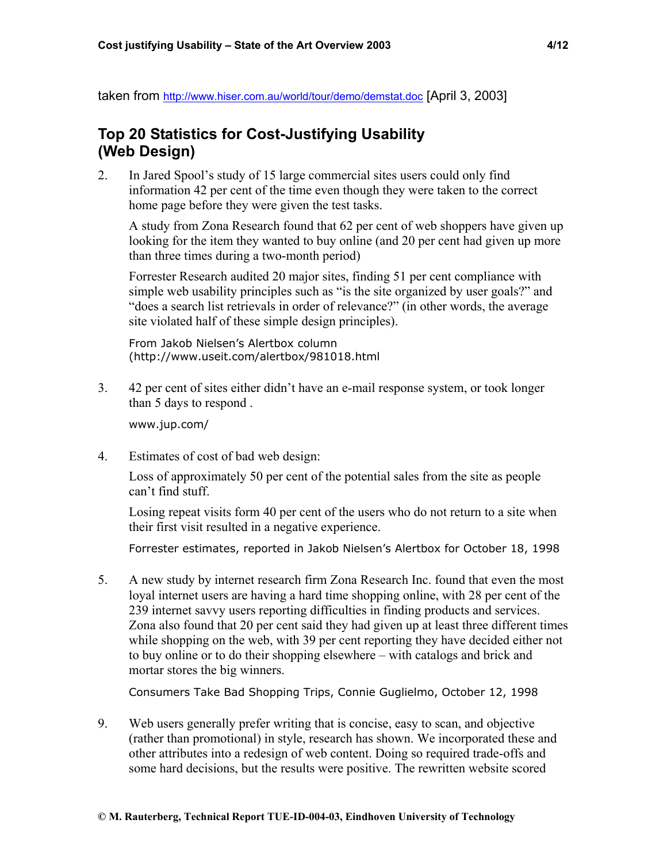taken from <http://www.hiser.com.au/world/tour/demo/demstat.doc> [April 3, 2003]

# **Top 20 Statistics for Cost-Justifying Usability (Web Design)**

2. In Jared Spool's study of 15 large commercial sites users could only find information 42 per cent of the time even though they were taken to the correct home page before they were given the test tasks.

A study from Zona Research found that 62 per cent of web shoppers have given up looking for the item they wanted to buy online (and 20 per cent had given up more than three times during a two-month period)

Forrester Research audited 20 major sites, finding 51 per cent compliance with simple web usability principles such as "is the site organized by user goals?" and "does a search list retrievals in order of relevance?" (in other words, the average site violated half of these simple design principles).

From Jakob Nielsen's Alertbox column (http://www.useit.com/alertbox/981018.html

3. 42 per cent of sites either didn't have an e-mail response system, or took longer than 5 days to respond .

www.jup.com/

4. Estimates of cost of bad web design:

Loss of approximately 50 per cent of the potential sales from the site as people can't find stuff.

Losing repeat visits form 40 per cent of the users who do not return to a site when their first visit resulted in a negative experience.

Forrester estimates, reported in Jakob Nielsen's Alertbox for October 18, 1998

5. A new study by internet research firm Zona Research Inc. found that even the most loyal internet users are having a hard time shopping online, with 28 per cent of the 239 internet savvy users reporting difficulties in finding products and services. Zona also found that 20 per cent said they had given up at least three different times while shopping on the web, with 39 per cent reporting they have decided either not to buy online or to do their shopping elsewhere – with catalogs and brick and mortar stores the big winners.

Consumers Take Bad Shopping Trips, Connie Guglielmo, October 12, 1998

9. Web users generally prefer writing that is concise, easy to scan, and objective (rather than promotional) in style, research has shown. We incorporated these and other attributes into a redesign of web content. Doing so required trade-offs and some hard decisions, but the results were positive. The rewritten website scored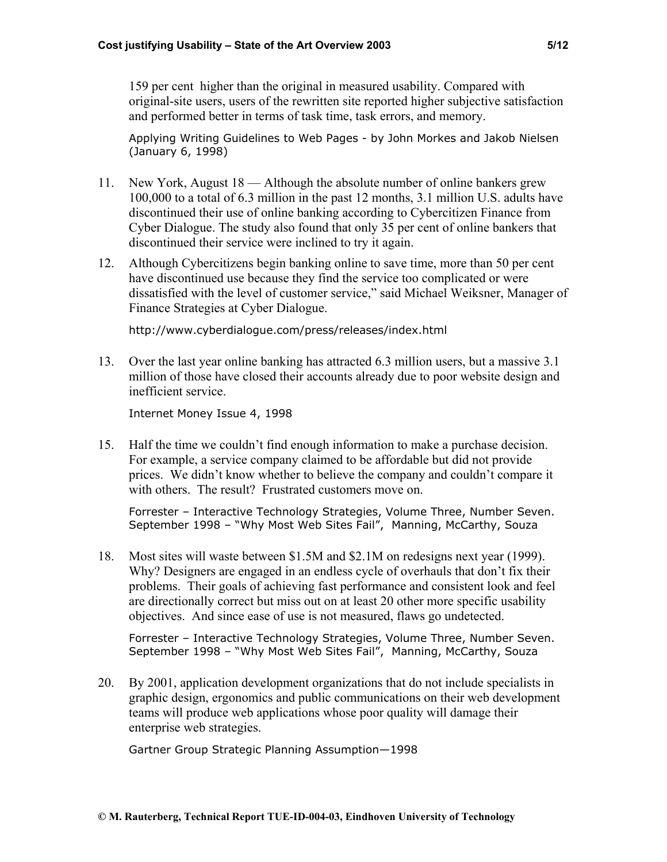159 per cent higher than the original in measured usability. Compared with original-site users, users of the rewritten site reported higher subjective satisfaction and performed better in terms of task time, task errors, and memory.

Applying Writing Guidelines to Web Pages - by John Morkes and Jakob Nielsen (January 6, 1998)

- 11. New York, August 18 Although the absolute number of online bankers grew 100,000 to a total of 6.3 million in the past 12 months, 3.1 million U.S. adults have discontinued their use of online banking according to Cybercitizen Finance from Cyber Dialogue. The study also found that only 35 per cent of online bankers that discontinued their service were inclined to try it again.
- 12. Although Cybercitizens begin banking online to save time, more than 50 per cent have discontinued use because they find the service too complicated or were dissatisfied with the level of customer service," said Michael Weiksner, Manager of Finance Strategies at Cyber Dialogue.

http://www.cyberdialogue.com/press/releases/index.html

13. Over the last year online banking has attracted 6.3 million users, but a massive 3.1 million of those have closed their accounts already due to poor website design and inefficient service.

Internet Money Issue 4, 1998

15. Half the time we couldn't find enough information to make a purchase decision. For example, a service company claimed to be affordable but did not provide prices. We didn't know whether to believe the company and couldn't compare it with others. The result? Frustrated customers move on.

Forrester – Interactive Technology Strategies, Volume Three, Number Seven. September 1998 – "Why Most Web Sites Fail", Manning, McCarthy, Souza

18. Most sites will waste between \$1.5M and \$2.1M on redesigns next year (1999). Why? Designers are engaged in an endless cycle of overhauls that don't fix their problems. Their goals of achieving fast performance and consistent look and feel are directionally correct but miss out on at least 20 other more specific usability objectives. And since ease of use is not measured, flaws go undetected.

Forrester – Interactive Technology Strategies, Volume Three, Number Seven. September 1998 – "Why Most Web Sites Fail", Manning, McCarthy, Souza

20. By 2001, application development organizations that do not include specialists in graphic design, ergonomics and public communications on their web development teams will produce web applications whose poor quality will damage their enterprise web strategies.

Gartner Group Strategic Planning Assumption—1998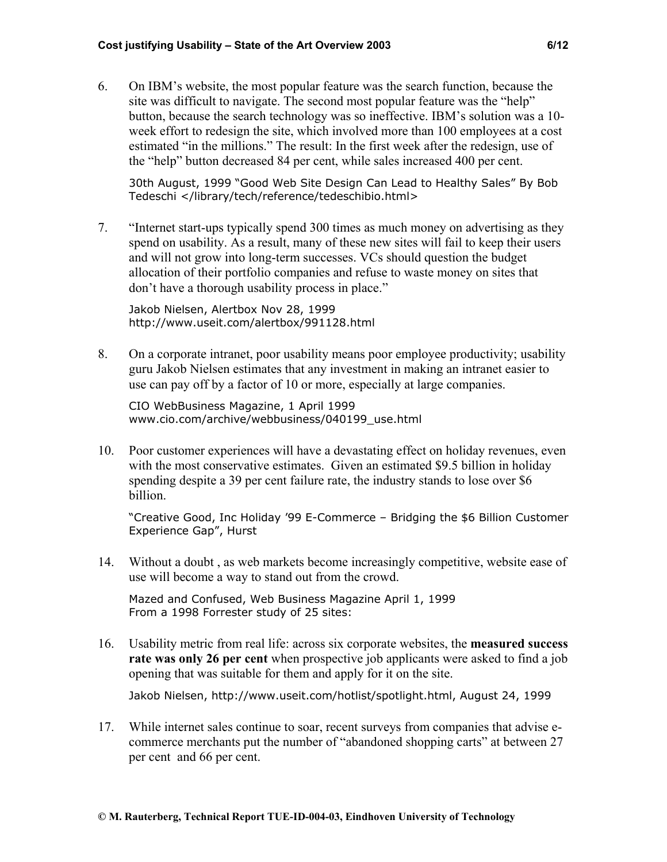6. On IBM's website, the most popular feature was the search function, because the site was difficult to navigate. The second most popular feature was the "help" button, because the search technology was so ineffective. IBM's solution was a 10 week effort to redesign the site, which involved more than 100 employees at a cost estimated "in the millions." The result: In the first week after the redesign, use of the "help" button decreased 84 per cent, while sales increased 400 per cent.

30th August, 1999 "Good Web Site Design Can Lead to Healthy Sales" By Bob Tedeschi </library/tech/reference/tedeschibio.html>

7. "Internet start-ups typically spend 300 times as much money on advertising as they spend on usability. As a result, many of these new sites will fail to keep their users and will not grow into long-term successes. VCs should question the budget allocation of their portfolio companies and refuse to waste money on sites that don't have a thorough usability process in place."

Jakob Nielsen, Alertbox Nov 28, 1999 <http://www.useit.com/alertbox/991128.html>

8. On a corporate intranet, poor usability means poor employee productivity; usability guru Jakob Nielsen estimates that any investment in making an intranet easier to use can pay off by a factor of 10 or more, especially at large companies.

CIO WebBusiness Magazine, 1 April 1999 www.cio.com/archive/webbusiness/040199\_use.html

10. Poor customer experiences will have a devastating effect on holiday revenues, even with the most conservative estimates. Given an estimated \$9.5 billion in holiday spending despite a 39 per cent failure rate, the industry stands to lose over \$6 billion.

"Creative Good, Inc Holiday '99 E-Commerce – Bridging the \$6 Billion Customer Experience Gap", Hurst

14. Without a doubt , as web markets become increasingly competitive, website ease of use will become a way to stand out from the crowd.

Mazed and Confused, Web Business Magazine April 1, 1999 From a 1998 Forrester study of 25 sites:

16. Usability metric from real life: across six corporate websites, the **measured success rate was only 26 per cent** when prospective job applicants were asked to find a job opening that was suitable for them and apply for it on the site.

Jakob Nielsen, http://www.useit.com/hotlist/spotlight.html, August 24, 1999

17. While internet sales continue to soar, recent surveys from companies that advise ecommerce merchants put the number of "abandoned shopping carts" at between 27 per cent and 66 per cent.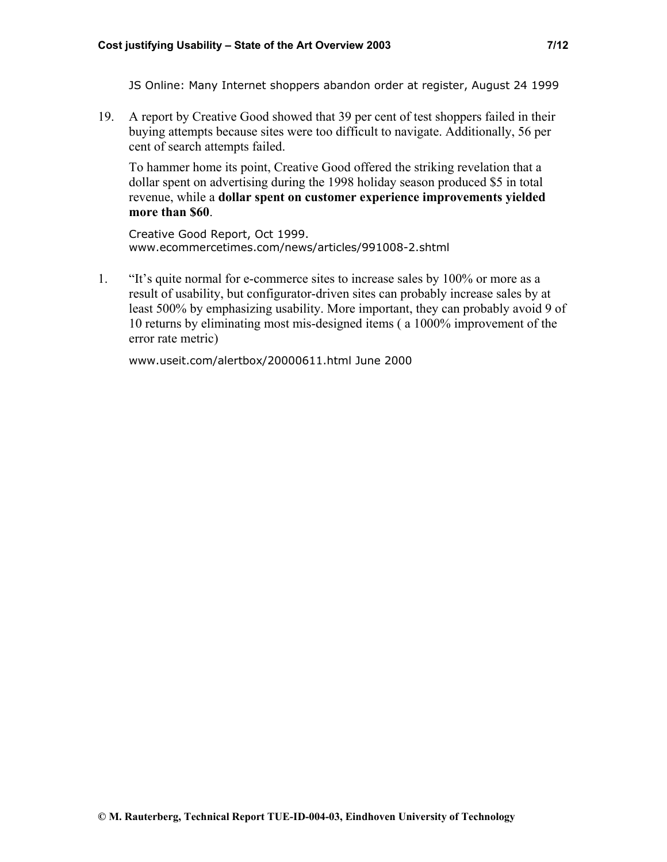JS Online: Many Internet shoppers abandon order at register, August 24 1999

19. A report by Creative Good showed that 39 per cent of test shoppers failed in their buying attempts because sites were too difficult to navigate. Additionally, 56 per cent of search attempts failed.

To hammer home its point, Creative Good offered the striking revelation that a dollar spent on advertising during the 1998 holiday season produced \$5 in total revenue, while a **dollar spent on customer experience improvements yielded more than \$60**.

Creative Good Report, Oct 1999. www.ecommercetimes.com/news/articles/991008-2.shtml

1. "It's quite normal for e-commerce sites to increase sales by 100% or more as a result of usability, but configurator-driven sites can probably increase sales by at least 500% by emphasizing usability. More important, they can probably avoid 9 of 10 returns by eliminating most mis-designed items ( a 1000% improvement of the error rate metric)

[www.useit.com/alertbox/20000611.html](http://www.useit.com/alertbox/20000611.html) June 2000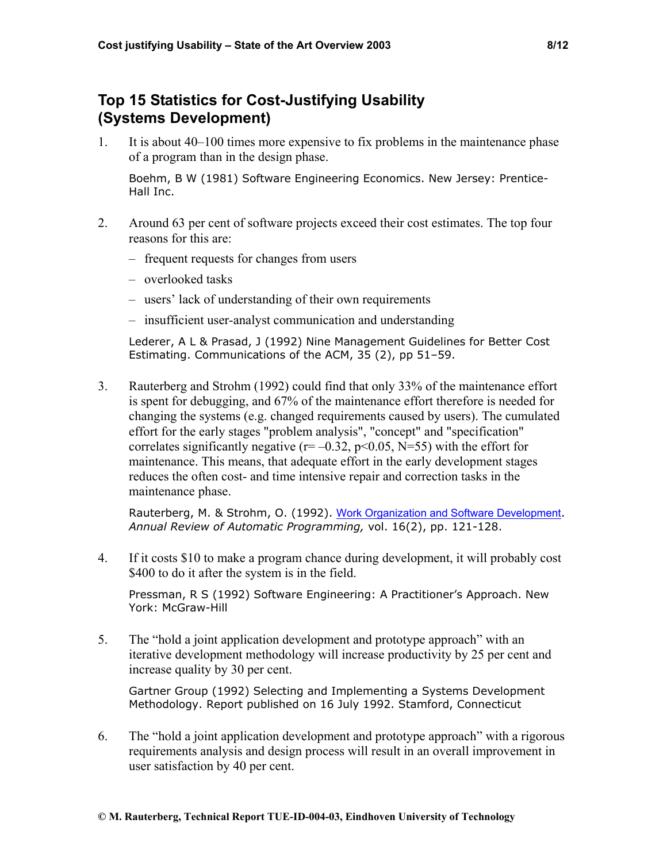# **Top 15 Statistics for Cost-Justifying Usability (Systems Development)**

1. It is about 40–100 times more expensive to fix problems in the maintenance phase of a program than in the design phase.

Boehm, B W (1981) Software Engineering Economics. New Jersey: Prentice-Hall Inc.

- 2. Around 63 per cent of software projects exceed their cost estimates. The top four reasons for this are:
	- frequent requests for changes from users
	- overlooked tasks
	- users' lack of understanding of their own requirements
	- insufficient user-analyst communication and understanding

Lederer, A L & Prasad, J (1992) Nine Management Guidelines for Better Cost Estimating. Communications of the ACM, 35 (2), pp 51–59.

3. Rauterberg and Strohm (1992) could find that only 33% of the maintenance effort is spent for debugging, and 67% of the maintenance effort therefore is needed for changing the systems (e.g. changed requirements caused by users). The cumulated effort for the early stages "problem analysis", "concept" and "specification" correlates significantly negative  $(r=-0.32, p<0.05, N=55)$  with the effort for maintenance. This means, that adequate effort in the early development stages reduces the often cost- and time intensive repair and correction tasks in the maintenance phase.

Rauterberg, M. & Strohm, O. (1992). [Work Organization and Software Development](http://www.ipo.tue.nl/homepages/mrauterb/publications/IFAC94paper.pdf). *Annual Review of Automatic Programming,* vol. 16(2), pp. 121-128.

4. If it costs \$10 to make a program chance during development, it will probably cost \$400 to do it after the system is in the field.

Pressman, R S (1992) Software Engineering: A Practitioner's Approach. New York: McGraw-Hill

5. The "hold a joint application development and prototype approach" with an iterative development methodology will increase productivity by 25 per cent and increase quality by 30 per cent.

Gartner Group (1992) Selecting and Implementing a Systems Development Methodology. Report published on 16 July 1992. Stamford, Connecticut

6. The "hold a joint application development and prototype approach" with a rigorous requirements analysis and design process will result in an overall improvement in user satisfaction by 40 per cent.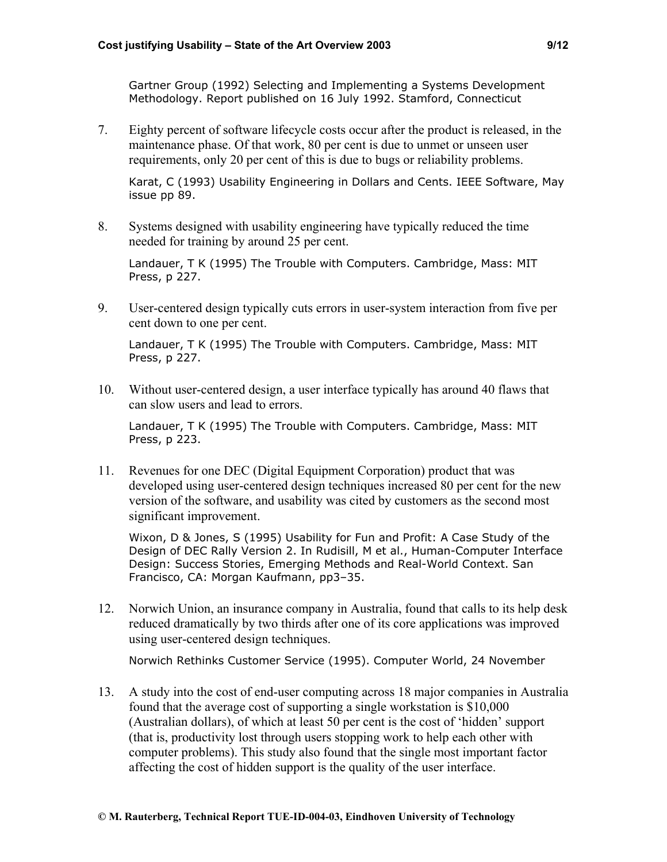Gartner Group (1992) Selecting and Implementing a Systems Development Methodology. Report published on 16 July 1992. Stamford, Connecticut

7. Eighty percent of software lifecycle costs occur after the product is released, in the maintenance phase. Of that work, 80 per cent is due to unmet or unseen user requirements, only 20 per cent of this is due to bugs or reliability problems.

Karat, C (1993) Usability Engineering in Dollars and Cents. IEEE Software, May issue pp 89.

8. Systems designed with usability engineering have typically reduced the time needed for training by around 25 per cent.

Landauer, T K (1995) The Trouble with Computers. Cambridge, Mass: MIT Press, p 227.

9. User-centered design typically cuts errors in user-system interaction from five per cent down to one per cent.

Landauer, T K (1995) The Trouble with Computers. Cambridge, Mass: MIT Press, p 227.

10. Without user-centered design, a user interface typically has around 40 flaws that can slow users and lead to errors.

Landauer, T K (1995) The Trouble with Computers. Cambridge, Mass: MIT Press, p 223.

11. Revenues for one DEC (Digital Equipment Corporation) product that was developed using user-centered design techniques increased 80 per cent for the new version of the software, and usability was cited by customers as the second most significant improvement.

Wixon, D & Jones, S (1995) Usability for Fun and Profit: A Case Study of the Design of DEC Rally Version 2. In Rudisill, M et al., Human-Computer Interface Design: Success Stories, Emerging Methods and Real-World Context. San Francisco, CA: Morgan Kaufmann, pp3–35.

12. Norwich Union, an insurance company in Australia, found that calls to its help desk reduced dramatically by two thirds after one of its core applications was improved using user-centered design techniques.

Norwich Rethinks Customer Service (1995). Computer World, 24 November

13. A study into the cost of end-user computing across 18 major companies in Australia found that the average cost of supporting a single workstation is \$10,000 (Australian dollars), of which at least 50 per cent is the cost of 'hidden' support (that is, productivity lost through users stopping work to help each other with computer problems). This study also found that the single most important factor affecting the cost of hidden support is the quality of the user interface.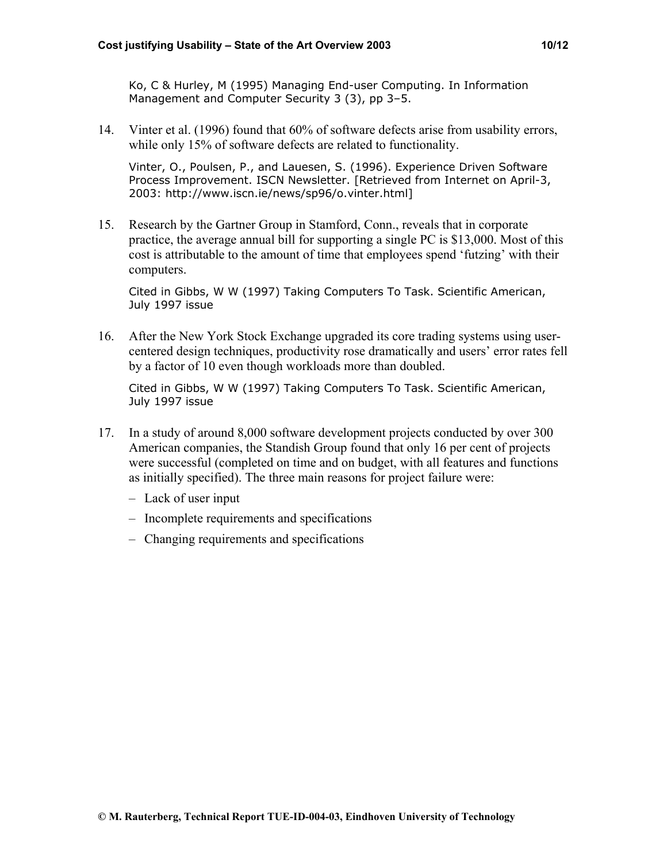Ko, C & Hurley, M (1995) Managing End-user Computing. In Information Management and Computer Security 3 (3), pp 3–5.

14. Vinter et al. (1996) found that 60% of software defects arise from usability errors, while only 15% of software defects are related to functionality.

Vinter, O., Poulsen, P., and Lauesen, S. (1996). Experience Driven Software Process Improvement. ISCN Newsletter. [Retrieved from Internet on April-3, 2003: http://www.iscn.ie/news/sp96/o.vinter.html]

15. Research by the Gartner Group in Stamford, Conn., reveals that in corporate practice, the average annual bill for supporting a single PC is \$13,000. Most of this cost is attributable to the amount of time that employees spend 'futzing' with their computers.

Cited in Gibbs, W W (1997) Taking Computers To Task. Scientific American, July 1997 issue

16. After the New York Stock Exchange upgraded its core trading systems using usercentered design techniques, productivity rose dramatically and users' error rates fell by a factor of 10 even though workloads more than doubled.

Cited in Gibbs, W W (1997) Taking Computers To Task. Scientific American, July 1997 issue

- 17. In a study of around 8,000 software development projects conducted by over 300 American companies, the Standish Group found that only 16 per cent of projects were successful (completed on time and on budget, with all features and functions as initially specified). The three main reasons for project failure were:
	- Lack of user input
	- Incomplete requirements and specifications
	- Changing requirements and specifications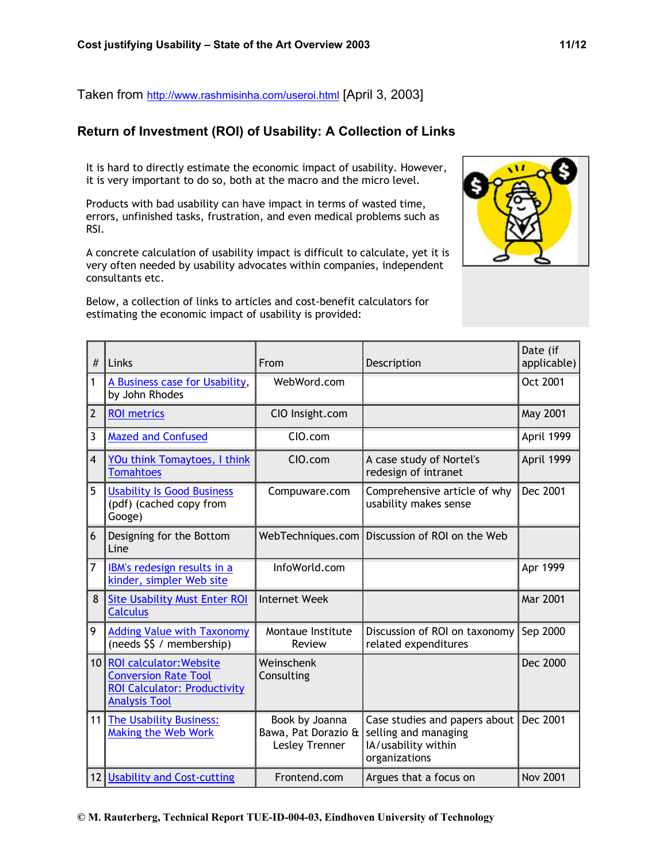Taken from <http://www.rashmisinha.com/useroi.html> [April 3, 2003]

## **Return of Investment (ROI) of Usability: A Collection of Links**

It is hard to directly estimate the economic impact of usability. However, it is very important to do so, both at the macro and the micro level.

Products with bad usability can have impact in terms of wasted time, errors, unfinished tasks, frustration, and even medical problems such as RSI.

A concrete calculation of usability impact is difficult to calculate, yet it is very often needed by usability advocates within companies, independent consultants etc.

Below, a collection of links to articles and cost-benefit calculators for estimating the economic impact of usability is provided:



| #              | Links                                                                                                                 | From                                                    | Description                                                                                   | Date (if<br>applicable) |
|----------------|-----------------------------------------------------------------------------------------------------------------------|---------------------------------------------------------|-----------------------------------------------------------------------------------------------|-------------------------|
| $\overline{1}$ | A Business case for Usability,<br>by John Rhodes                                                                      | WebWord.com                                             |                                                                                               | Oct 2001                |
| $\overline{2}$ | <b>ROI</b> metrics                                                                                                    | CIO Insight.com                                         |                                                                                               | May 2001                |
| $\overline{3}$ | <b>Mazed and Confused</b>                                                                                             | CIO.com                                                 |                                                                                               | April 1999              |
| $\overline{4}$ | YOu think Tomaytoes, I think<br><b>Tomahtoes</b>                                                                      | CIO.com                                                 | A case study of Nortel's<br>redesign of intranet                                              | April 1999              |
| 5              | <b>Usability Is Good Business</b><br>(pdf) (cached copy from<br>Googe)                                                | Compuware.com                                           | Comprehensive article of why<br>usability makes sense                                         | Dec 2001                |
| 6              | Designing for the Bottom<br>Line                                                                                      | WebTechniques.com                                       | Discussion of ROI on the Web                                                                  |                         |
| $\overline{7}$ | IBM's redesign results in a<br>kinder, simpler Web site                                                               | InfoWorld.com                                           |                                                                                               | Apr 1999                |
| 8              | <b>Site Usability Must Enter ROI</b><br><b>Calculus</b>                                                               | Internet Week                                           |                                                                                               | Mar 2001                |
| 9              | <b>Adding Value with Taxonomy</b><br>(needs \$\$ / membership)                                                        | Montaue Institute<br>Review                             | Discussion of ROI on taxonomy<br>related expenditures                                         | Sep 2000                |
| 10             | <b>ROI calculator: Website</b><br><b>Conversion Rate Tool</b><br>ROI Calculator: Productivity<br><b>Analysis Tool</b> | Weinschenk<br>Consulting                                |                                                                                               | Dec 2000                |
| 11             | The Usability Business:<br>Making the Web Work                                                                        | Book by Joanna<br>Bawa, Pat Dorazio &<br>Lesley Trenner | Case studies and papers about<br>selling and managing<br>IA/usability within<br>organizations | Dec 2001                |
| 12             | <b>Usability and Cost-cutting</b>                                                                                     | Frontend.com                                            | Argues that a focus on                                                                        | <b>Nov 2001</b>         |